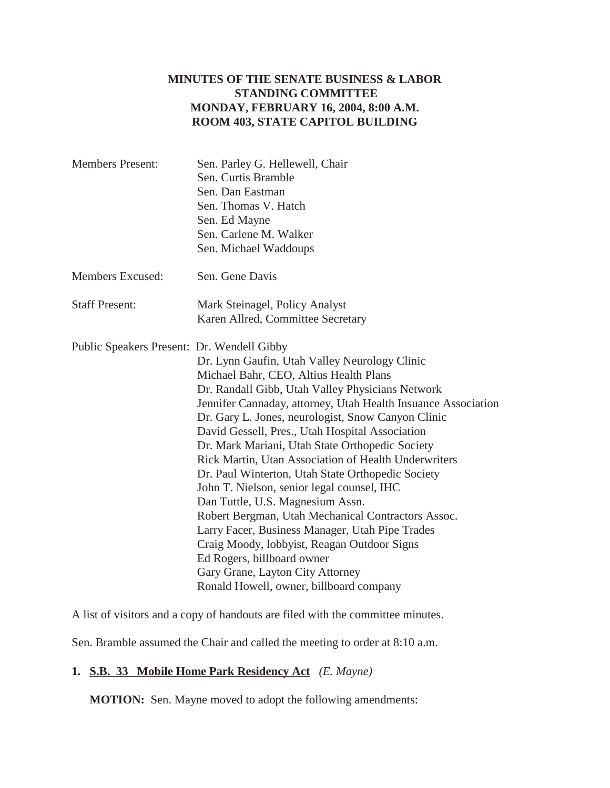## **MINUTES OF THE SENATE BUSINESS & LABOR STANDING COMMITTEE MONDAY, FEBRUARY 16, 2004, 8:00 A.M. ROOM 403, STATE CAPITOL BUILDING**

| <b>Members Present:</b>                    | Sen. Parley G. Hellewell, Chair                               |
|--------------------------------------------|---------------------------------------------------------------|
|                                            | Sen. Curtis Bramble                                           |
|                                            | Sen. Dan Eastman                                              |
|                                            | Sen. Thomas V. Hatch                                          |
|                                            | Sen. Ed Mayne                                                 |
|                                            | Sen. Carlene M. Walker                                        |
|                                            | Sen. Michael Waddoups                                         |
| Members Excused:                           | Sen. Gene Davis                                               |
| <b>Staff Present:</b>                      | Mark Steinagel, Policy Analyst                                |
|                                            | Karen Allred, Committee Secretary                             |
| Public Speakers Present: Dr. Wendell Gibby |                                                               |
|                                            | Dr. Lynn Gaufin, Utah Valley Neurology Clinic                 |
|                                            | Michael Bahr, CEO, Altius Health Plans                        |
|                                            | Dr. Randall Gibb, Utah Valley Physicians Network              |
|                                            | Jennifer Cannaday, attorney, Utah Health Insuance Association |
|                                            | Dr. Gary L. Jones, neurologist, Snow Canyon Clinic            |
|                                            | David Gessell, Pres., Utah Hospital Association               |
|                                            | Dr. Mark Mariani, Utah State Orthopedic Society               |
|                                            | Rick Martin, Utan Association of Health Underwriters          |
|                                            | Dr. Paul Winterton, Utah State Orthopedic Society             |
|                                            | John T. Nielson, senior legal counsel, IHC                    |
|                                            | Dan Tuttle, U.S. Magnesium Assn.                              |
|                                            | Robert Bergman, Utah Mechanical Contractors Assoc.            |
|                                            | Larry Facer, Business Manager, Utah Pipe Trades               |
|                                            | Craig Moody, lobbyist, Reagan Outdoor Signs                   |
|                                            | Ed Rogers, billboard owner                                    |
|                                            | Gary Grane, Layton City Attorney                              |
|                                            | Ronald Howell, owner, billboard company                       |
|                                            |                                                               |

A list of visitors and a copy of handouts are filed with the committee minutes.

Sen. Bramble assumed the Chair and called the meeting to order at 8:10 a.m.

## **1. S.B. 33 Mobile Home Park Residency Act** *(E. Mayne)*

**MOTION:** Sen. Mayne moved to adopt the following amendments: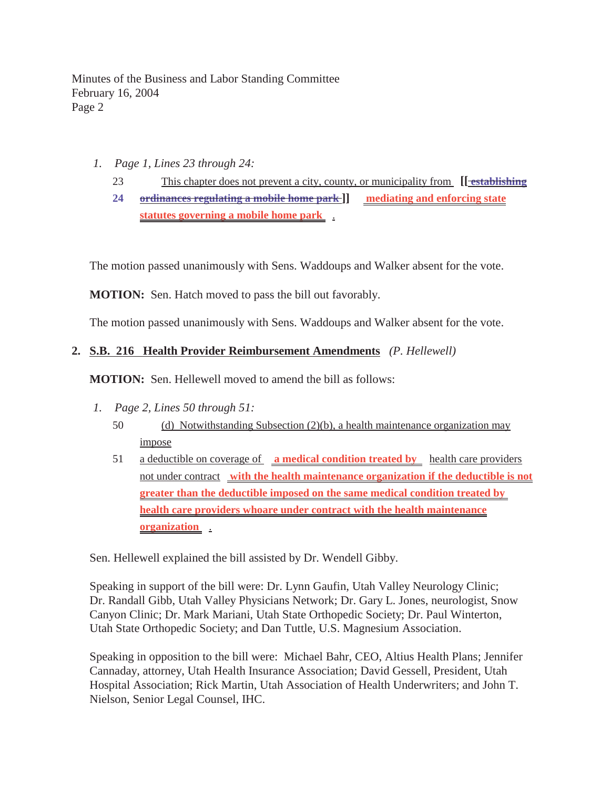- *1. Page 1, Lines 23 through 24:*
	- 23 This chapter does not prevent a city, county, or municipality from **[[ establishing**
	- **24 ordinances regulating a mobile home park ]] mediating and enforcing state statutes governing a mobile home park** .

The motion passed unanimously with Sens. Waddoups and Walker absent for the vote.

**MOTION:** Sen. Hatch moved to pass the bill out favorably.

The motion passed unanimously with Sens. Waddoups and Walker absent for the vote.

# **2. S.B. 216 Health Provider Reimbursement Amendments** *(P. Hellewell)*

**MOTION:** Sen. Hellewell moved to amend the bill as follows:

- *1. Page 2, Lines 50 through 51:*
	- 50 (d) Notwithstanding Subsection (2)(b), a health maintenance organization may impose
	- 51 a deductible on coverage of **a medical condition treated by** health care providers not under contract **with the health maintenance organization if the deductible is not greater than the deductible imposed on the same medical condition treated by health care providers whoare under contract with the health maintenance organization** .

Sen. Hellewell explained the bill assisted by Dr. Wendell Gibby.

Speaking in support of the bill were: Dr. Lynn Gaufin, Utah Valley Neurology Clinic; Dr. Randall Gibb, Utah Valley Physicians Network; Dr. Gary L. Jones, neurologist, Snow Canyon Clinic; Dr. Mark Mariani, Utah State Orthopedic Society; Dr. Paul Winterton, Utah State Orthopedic Society; and Dan Tuttle, U.S. Magnesium Association.

Speaking in opposition to the bill were: Michael Bahr, CEO, Altius Health Plans; Jennifer Cannaday, attorney, Utah Health Insurance Association; David Gessell, President, Utah Hospital Association; Rick Martin, Utah Association of Health Underwriters; and John T. Nielson, Senior Legal Counsel, IHC.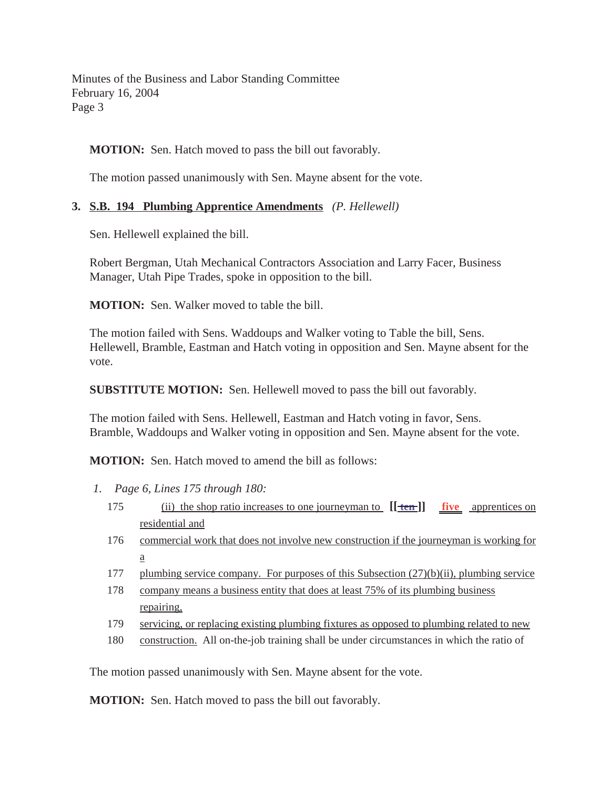**MOTION:** Sen. Hatch moved to pass the bill out favorably.

The motion passed unanimously with Sen. Mayne absent for the vote.

# **3. S.B. 194 Plumbing Apprentice Amendments** *(P. Hellewell)*

Sen. Hellewell explained the bill.

Robert Bergman, Utah Mechanical Contractors Association and Larry Facer, Business Manager, Utah Pipe Trades, spoke in opposition to the bill.

**MOTION:** Sen. Walker moved to table the bill.

The motion failed with Sens. Waddoups and Walker voting to Table the bill, Sens. Hellewell, Bramble, Eastman and Hatch voting in opposition and Sen. Mayne absent for the vote.

**SUBSTITUTE MOTION:** Sen. Hellewell moved to pass the bill out favorably.

The motion failed with Sens. Hellewell, Eastman and Hatch voting in favor, Sens. Bramble, Waddoups and Walker voting in opposition and Sen. Mayne absent for the vote.

**MOTION:** Sen. Hatch moved to amend the bill as follows:

- *1. Page 6, Lines 175 through 180:*
	- 175 (ii) the shop ratio increases to one journeyman to **[[ ten ]] five** apprentices on residential and
	- 176 commercial work that does not involve new construction if the journeyman is working for a
	- 177 plumbing service company. For purposes of this Subsection (27)(b)(ii), plumbing service
	- 178 company means a business entity that does at least 75% of its plumbing business repairing,
	- 179 servicing, or replacing existing plumbing fixtures as opposed to plumbing related to new
	- 180 construction. All on-the-job training shall be under circumstances in which the ratio of

The motion passed unanimously with Sen. Mayne absent for the vote.

**MOTION:** Sen. Hatch moved to pass the bill out favorably.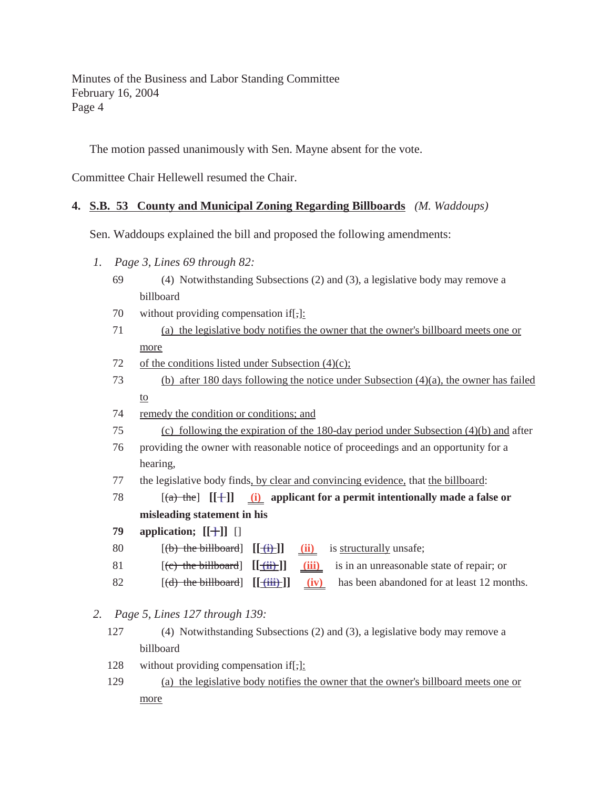The motion passed unanimously with Sen. Mayne absent for the vote.

Committee Chair Hellewell resumed the Chair.

### **4. S.B. 53 County and Municipal Zoning Regarding Billboards** *(M. Waddoups)*

Sen. Waddoups explained the bill and proposed the following amendments:

- *1. Page 3, Lines 69 through 82:*
	- 69 (4) Notwithstanding Subsections (2) and (3), a legislative body may remove a billboard
	- 70 without providing compensation if[,]:
	- 71 (a) the legislative body notifies the owner that the owner's billboard meets one or more
	- 72 of the conditions listed under Subsection  $(4)(c)$ ;
	- 73 (b) after 180 days following the notice under Subsection (4)(a), the owner has failed to
	- 74 remedy the condition or conditions; and
	- 75 (c) following the expiration of the 180-day period under Subsection (4)(b) and after
	- 76 providing the owner with reasonable notice of proceedings and an opportunity for a hearing,
	- 77 the legislative body finds, by clear and convincing evidence, that the billboard:
	- 78  $[(a)$  the  $[[+]]$  (i) applicant for a permit intentionally made a false or **misleading statement in his**
	- **79 application; [[ ]] ]** []
	- 80 **[(b) the billboard]**  $[[\underline{f} \underline{f}]$ ] **(ii)** is structurally unsafe;
	- 81 [(c) the billboard] **[[ (ii) ]] (iii)** is in an unreasonable state of repair; or
	- 82  $[(d)$  the billboard]  $[[\text{iii}]$   $(iv)$  has been abandoned for at least 12 months.

*2. Page 5, Lines 127 through 139:*

- 127 (4) Notwithstanding Subsections (2) and (3), a legislative body may remove a billboard
- 128 without providing compensation if  $\left[\frac{1}{2}\right]$ :
- 129 (a) the legislative body notifies the owner that the owner's billboard meets one or more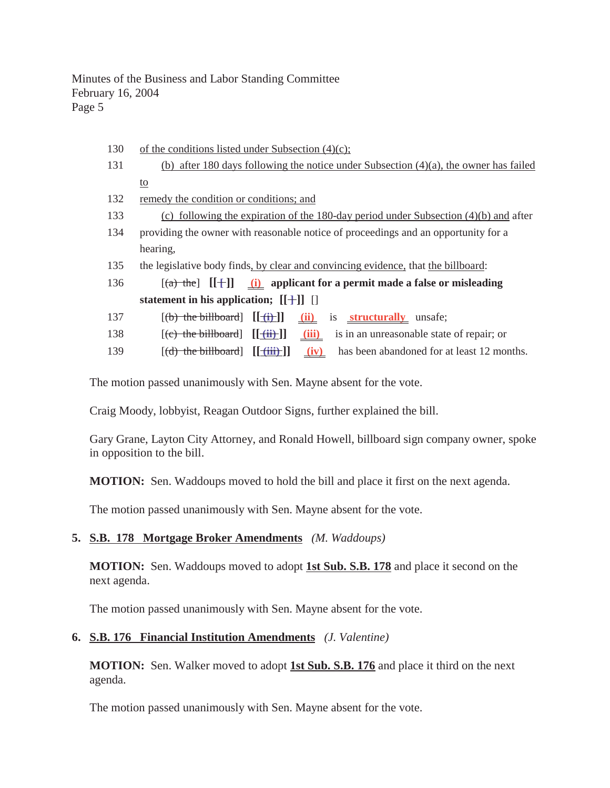- 130 of the conditions listed under Subsection  $(4)(c)$ ; 131 (b) after 180 days following the notice under Subsection (4)(a), the owner has failed to 132 remedy the condition or conditions; and 133 (c) following the expiration of the 180-day period under Subsection (4)(b) and after 134 providing the owner with reasonable notice of proceedings and an opportunity for a hearing, 135 the legislative body finds, by clear and convincing evidence, that the billboard: 136  $[(a)$  the  $[[+]]$  (i) applicant for a permit made a false or misleading **statement in his application;**  $[[\ ]\ ]$ 137 [(b) the billboard] **[[ (i) ]] (ii)** is **structurally** unsafe; 138 [(c) the billboard] **[[ (ii) ]] (iii)** is in an unreasonable state of repair; or
- 139  $[(d)$  the billboard  $[[iii]$   $(iv)$  has been abandoned for at least 12 months.

The motion passed unanimously with Sen. Mayne absent for the vote.

Craig Moody, lobbyist, Reagan Outdoor Signs, further explained the bill.

Gary Grane, Layton City Attorney, and Ronald Howell, billboard sign company owner, spoke in opposition to the bill.

**MOTION:** Sen. Waddoups moved to hold the bill and place it first on the next agenda.

The motion passed unanimously with Sen. Mayne absent for the vote.

#### **5. S.B. 178 Mortgage Broker Amendments** *(M. Waddoups)*

**MOTION:** Sen. Waddoups moved to adopt **1st Sub. S.B. 178** and place it second on the next agenda.

The motion passed unanimously with Sen. Mayne absent for the vote.

#### **6. S.B. 176 Financial Institution Amendments** *(J. Valentine)*

**MOTION:** Sen. Walker moved to adopt **1st Sub. S.B. 176** and place it third on the next agenda.

The motion passed unanimously with Sen. Mayne absent for the vote.